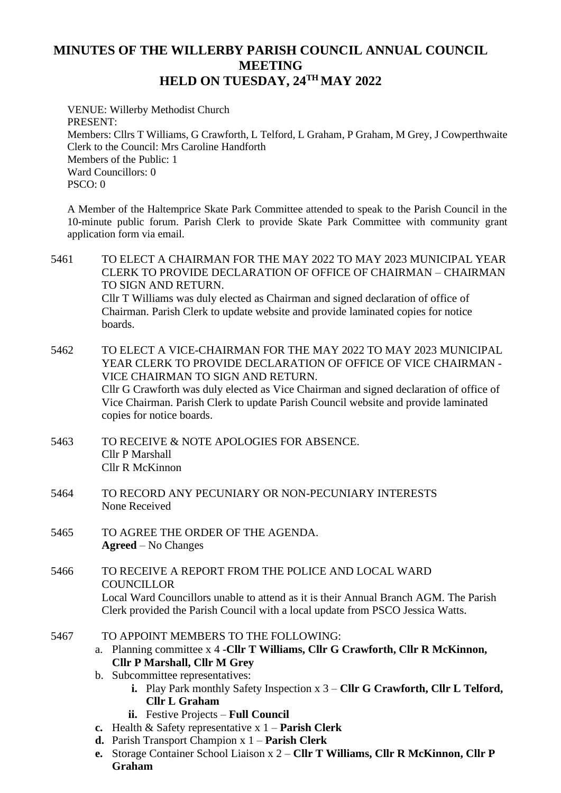## **MINUTES OF THE WILLERBY PARISH COUNCIL ANNUAL COUNCIL MEETING HELD ON TUESDAY, 24TH MAY 2022**

VENUE: Willerby Methodist Church PRESENT: Members: Cllrs T Williams, G Crawforth, L Telford, L Graham, P Graham, M Grey, J Cowperthwaite Clerk to the Council: Mrs Caroline Handforth Members of the Public: 1 Ward Councillors: 0 PSCO: 0

A Member of the Haltemprice Skate Park Committee attended to speak to the Parish Council in the 10-minute public forum. Parish Clerk to provide Skate Park Committee with community grant application form via email.

5461 TO ELECT A CHAIRMAN FOR THE MAY 2022 TO MAY 2023 MUNICIPAL YEAR CLERK TO PROVIDE DECLARATION OF OFFICE OF CHAIRMAN – CHAIRMAN TO SIGN AND RETURN. Cllr T Williams was duly elected as Chairman and signed declaration of office of Chairman. Parish Clerk to update website and provide laminated copies for notice boards.

- 5462 TO ELECT A VICE-CHAIRMAN FOR THE MAY 2022 TO MAY 2023 MUNICIPAL YEAR CLERK TO PROVIDE DECLARATION OF OFFICE OF VICE CHAIRMAN - VICE CHAIRMAN TO SIGN AND RETURN. Cllr G Crawforth was duly elected as Vice Chairman and signed declaration of office of Vice Chairman. Parish Clerk to update Parish Council website and provide laminated copies for notice boards.
- 5463 TO RECEIVE & NOTE APOLOGIES FOR ABSENCE. Cllr P Marshall Cllr R McKinnon
- 5464 TO RECORD ANY PECUNIARY OR NON-PECUNIARY INTERESTS None Received
- 5465 TO AGREE THE ORDER OF THE AGENDA. **Agreed** – No Changes
- 5466 TO RECEIVE A REPORT FROM THE POLICE AND LOCAL WARD COUNCILLOR Local Ward Councillors unable to attend as it is their Annual Branch AGM. The Parish Clerk provided the Parish Council with a local update from PSCO Jessica Watts.
- 5467 TO APPOINT MEMBERS TO THE FOLLOWING:
	- a. Planning committee x 4 -**Cllr T Williams, Cllr G Crawforth, Cllr R McKinnon, Cllr P Marshall, Cllr M Grey**
	- b. Subcommittee representatives:
		- **i.** Play Park monthly Safety Inspection x 3 **Cllr G Crawforth, Cllr L Telford, Cllr L Graham**
		- **ii.** Festive Projects **Full Council**
	- **c.** Health & Safety representative x 1 **Parish Clerk**
	- **d.** Parish Transport Champion x 1 **Parish Clerk**
	- **e.** Storage Container School Liaison x 2 **Cllr T Williams, Cllr R McKinnon, Cllr P Graham**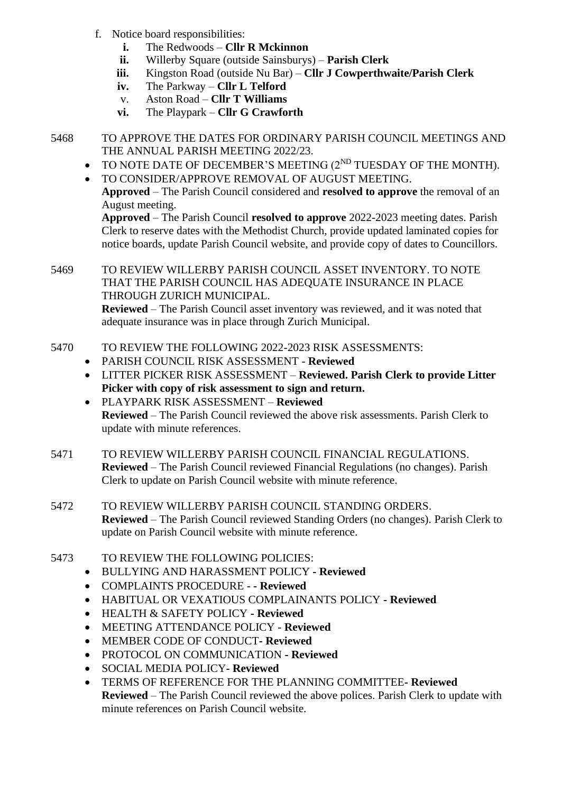- f. Notice board responsibilities:
	- **i.** The Redwoods **Cllr R Mckinnon**
	- **ii.** Willerby Square (outside Sainsburys) **Parish Clerk**
	- **iii.** Kingston Road (outside Nu Bar) **Cllr J Cowperthwaite/Parish Clerk**
	- **iv.** The Parkway **Cllr L Telford**
	- v. Aston Road **Cllr T Williams**
	- **vi.** The Playpark **Cllr G Crawforth**
- 5468 TO APPROVE THE DATES FOR ORDINARY PARISH COUNCIL MEETINGS AND THE ANNUAL PARISH MEETING 2022/23.
	- $\bullet$  TO NOTE DATE OF DECEMBER'S MEETING ( $2^{ND}$  TUESDAY OF THE MONTH).
	- TO CONSIDER/APPROVE REMOVAL OF AUGUST MEETING.

**Approved** – The Parish Council considered and **resolved to approve** the removal of an August meeting.

**Approved** – The Parish Council **resolved to approve** 2022-2023 meeting dates. Parish Clerk to reserve dates with the Methodist Church, provide updated laminated copies for notice boards, update Parish Council website, and provide copy of dates to Councillors.

## 5469 TO REVIEW WILLERBY PARISH COUNCIL ASSET INVENTORY. TO NOTE THAT THE PARISH COUNCIL HAS ADEQUATE INSURANCE IN PLACE THROUGH ZURICH MUNICIPAL.

**Reviewed** – The Parish Council asset inventory was reviewed, and it was noted that adequate insurance was in place through Zurich Municipal.

- 5470 TO REVIEW THE FOLLOWING 2022-2023 RISK ASSESSMENTS:
	- PARISH COUNCIL RISK ASSESSMENT **Reviewed**
	- LITTER PICKER RISK ASSESSMENT **Reviewed. Parish Clerk to provide Litter Picker with copy of risk assessment to sign and return.**
	- PLAYPARK RISK ASSESSMENT **Reviewed Reviewed** – The Parish Council reviewed the above risk assessments. Parish Clerk to update with minute references.
- 5471 TO REVIEW WILLERBY PARISH COUNCIL FINANCIAL REGULATIONS. **Reviewed** – The Parish Council reviewed Financial Regulations (no changes). Parish Clerk to update on Parish Council website with minute reference.
- 5472 TO REVIEW WILLERBY PARISH COUNCIL STANDING ORDERS. **Reviewed** – The Parish Council reviewed Standing Orders (no changes). Parish Clerk to update on Parish Council website with minute reference.
- 5473 TO REVIEW THE FOLLOWING POLICIES:
	- BULLYING AND HARASSMENT POLICY **- Reviewed**
	- COMPLAINTS PROCEDURE **- Reviewed**
	- HABITUAL OR VEXATIOUS COMPLAINANTS POLICY **- Reviewed**
	- HEALTH & SAFETY POLICY **- Reviewed**
	- MEETING ATTENDANCE POLICY **Reviewed**
	- MEMBER CODE OF CONDUCT**- Reviewed**
	- PROTOCOL ON COMMUNICATION **- Reviewed**
	- SOCIAL MEDIA POLICY**- Reviewed**
	- TERMS OF REFERENCE FOR THE PLANNING COMMITTEE**- Reviewed Reviewed** – The Parish Council reviewed the above polices. Parish Clerk to update with minute references on Parish Council website.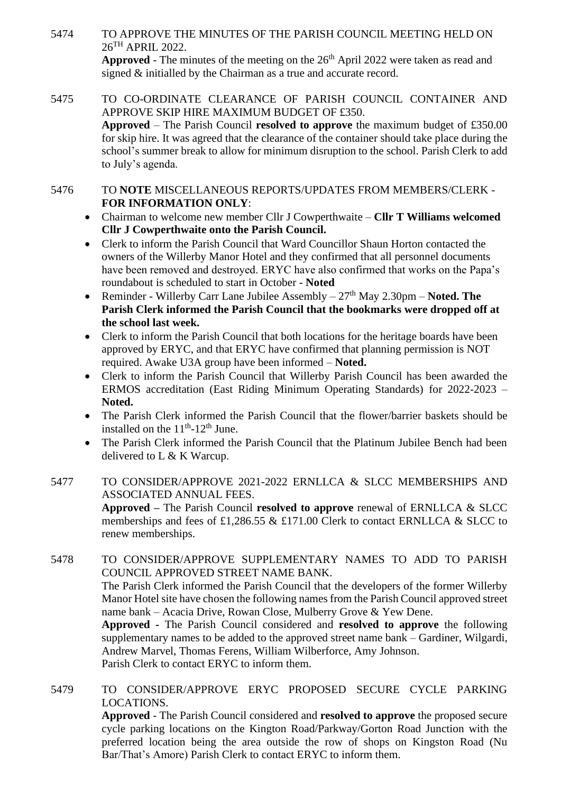- 5474 TO APPROVE THE MINUTES OF THE PARISH COUNCIL MEETING HELD ON 26TH APRIL 2022. **Approved** - The minutes of the meeting on the  $26<sup>th</sup>$  April 2022 were taken as read and signed & initialled by the Chairman as a true and accurate record.
- 5475 TO CO-ORDINATE CLEARANCE OF PARISH COUNCIL CONTAINER AND APPROVE SKIP HIRE MAXIMUM BUDGET OF £350. **Approved** – The Parish Council **resolved to approve** the maximum budget of £350.00 for skip hire. It was agreed that the clearance of the container should take place during the school's summer break to allow for minimum disruption to the school. Parish Clerk to add to July's agenda.

5476 TO **NOTE** MISCELLANEOUS REPORTS/UPDATES FROM MEMBERS/CLERK - **FOR INFORMATION ONLY**:

- Chairman to welcome new member Cllr J Cowperthwaite **Cllr T Williams welcomed Cllr J Cowperthwaite onto the Parish Council.**
- Clerk to inform the Parish Council that Ward Councillor Shaun Horton contacted the owners of the Willerby Manor Hotel and they confirmed that all personnel documents have been removed and destroyed. ERYC have also confirmed that works on the Papa's roundabout is scheduled to start in October - **Noted**
- Reminder Willerby Carr Lane Jubilee Assembly  $-27<sup>th</sup>$  May 2.30pm  $-$  **Noted. The Parish Clerk informed the Parish Council that the bookmarks were dropped off at the school last week.**
- Clerk to inform the Parish Council that both locations for the heritage boards have been approved by ERYC, and that ERYC have confirmed that planning permission is NOT required. Awake U3A group have been informed – **Noted.**
- Clerk to inform the Parish Council that Willerby Parish Council has been awarded the ERMOS accreditation (East Riding Minimum Operating Standards) for 2022-2023 – **Noted.**
- The Parish Clerk informed the Parish Council that the flower/barrier baskets should be installed on the  $11<sup>th</sup>$ -12<sup>th</sup> June.
- The Parish Clerk informed the Parish Council that the Platinum Jubilee Bench had been delivered to L & K Warcup.
- 5477 TO CONSIDER/APPROVE 2021-2022 ERNLLCA & SLCC MEMBERSHIPS AND ASSOCIATED ANNUAL FEES. **Approved –** The Parish Council **resolved to approve** renewal of ERNLLCA & SLCC memberships and fees of £1,286.55 & £171.00 Clerk to contact ERNLLCA & SLCC to renew memberships.

5478 TO CONSIDER/APPROVE SUPPLEMENTARY NAMES TO ADD TO PARISH COUNCIL APPROVED STREET NAME BANK. The Parish Clerk informed the Parish Council that the developers of the former Willerby Manor Hotel site have chosen the following names from the Parish Council approved street name bank – Acacia Drive, Rowan Close, Mulberry Grove & Yew Dene. **Approved -** The Parish Council considered and **resolved to approve** the following supplementary names to be added to the approved street name bank – Gardiner, Wilgardi, Andrew Marvel, Thomas Ferens, William Wilberforce, Amy Johnson. Parish Clerk to contact ERYC to inform them.

5479 TO CONSIDER/APPROVE ERYC PROPOSED SECURE CYCLE PARKING LOCATIONS. **Approved** - The Parish Council considered and **resolved to approve** the proposed secure

cycle parking locations on the Kington Road/Parkway/Gorton Road Junction with the preferred location being the area outside the row of shops on Kingston Road (Nu Bar/That's Amore) Parish Clerk to contact ERYC to inform them.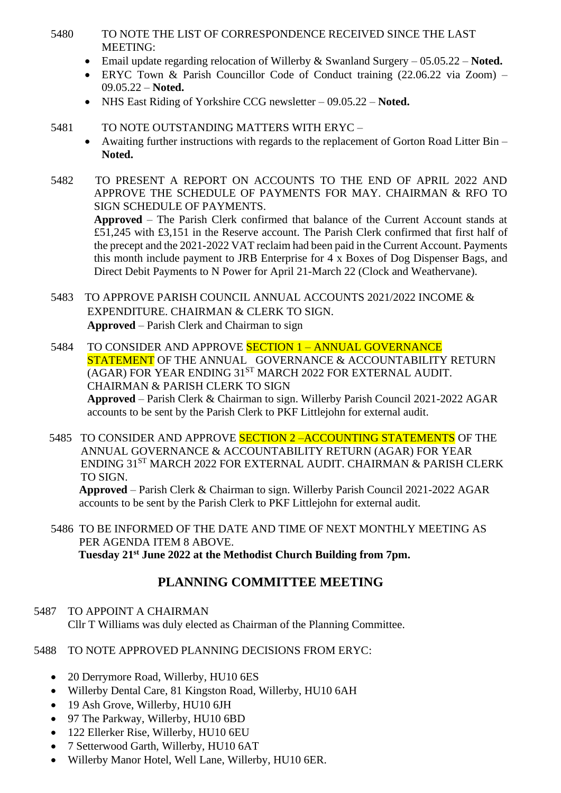- 5480 TO NOTE THE LIST OF CORRESPONDENCE RECEIVED SINCE THE LAST MEETING:
	- Email update regarding relocation of Willerby & Swanland Surgery 05.05.22 **Noted.**
	- ERYC Town & Parish Councillor Code of Conduct training (22.06.22 via Zoom) 09.05.22 – **Noted.**
	- NHS East Riding of Yorkshire CCG newsletter 09.05.22 **Noted.**
- 5481 TO NOTE OUTSTANDING MATTERS WITH ERYC
	- Awaiting further instructions with regards to the replacement of Gorton Road Litter Bin **Noted.**
- 5482 TO PRESENT A REPORT ON ACCOUNTS TO THE END OF APRIL 2022 AND APPROVE THE SCHEDULE OF PAYMENTS FOR MAY. CHAIRMAN & RFO TO SIGN SCHEDULE OF PAYMENTS.

**Approved** – The Parish Clerk confirmed that balance of the Current Account stands at £51,245 with £3,151 in the Reserve account. The Parish Clerk confirmed that first half of the precept and the 2021-2022 VAT reclaim had been paid in the Current Account. Payments this month include payment to JRB Enterprise for 4 x Boxes of Dog Dispenser Bags, and Direct Debit Payments to N Power for April 21-March 22 (Clock and Weathervane).

- 5483 TO APPROVE PARISH COUNCIL ANNUAL ACCOUNTS 2021/2022 INCOME & EXPENDITURE. CHAIRMAN & CLERK TO SIGN. **Approved** – Parish Clerk and Chairman to sign
- 5484 TO CONSIDER AND APPROVE SECTION 1 ANNUAL GOVERNANCE STATEMENT OF THE ANNUAL GOVERNANCE & ACCOUNTABILITY RETURN (AGAR) FOR YEAR ENDING 31<sup>ST</sup> MARCH 2022 FOR EXTERNAL AUDIT. CHAIRMAN & PARISH CLERK TO SIGN **Approved** – Parish Clerk & Chairman to sign. Willerby Parish Council 2021-2022 AGAR accounts to be sent by the Parish Clerk to PKF Littlejohn for external audit.
- 5485 TO CONSIDER AND APPROVE **SECTION 2-ACCOUNTING STATEMENTS** OF THE ANNUAL GOVERNANCE & ACCOUNTABILITY RETURN (AGAR) FOR YEAR ENDING 31<sup>ST</sup> MARCH 2022 FOR EXTERNAL AUDIT. CHAIRMAN & PARISH CLERK TO SIGN.

**Approved** – Parish Clerk & Chairman to sign. Willerby Parish Council 2021-2022 AGAR accounts to be sent by the Parish Clerk to PKF Littlejohn for external audit.

5486 TO BE INFORMED OF THE DATE AND TIME OF NEXT MONTHLY MEETING AS PER AGENDA ITEM 8 ABOVE. **Tuesday 21st June 2022 at the Methodist Church Building from 7pm.**

## **PLANNING COMMITTEE MEETING**

- 5487 TO APPOINT A CHAIRMAN Cllr T Williams was duly elected as Chairman of the Planning Committee.
- 5488 TO NOTE APPROVED PLANNING DECISIONS FROM ERYC:
	- 20 Derrymore Road, Willerby, HU10 6ES
	- Willerby Dental Care, 81 Kingston Road, Willerby, HU10 6AH
	- 19 Ash Grove, Willerby, HU10 6JH
	- 97 The Parkway, Willerby, HU10 6BD
	- 122 Ellerker Rise, Willerby, HU10 6EU
	- 7 Setterwood Garth, Willerby, HU10 6AT
	- Willerby Manor Hotel, Well Lane, Willerby, HU10 6ER.